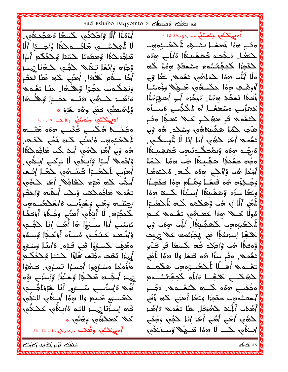نَه حَتَّفُ kad Bshabo Daqyomto 3 <del>مَاسْتَامُهُ A</del> 6.16.29. p. a. o disais de la disa أَمَاءُ أَلَّا وَاحْكَثُوهِ كَسْعًا هَعَجَدَهُومِ. ەكَبِر ھەُا ذَهمُا بِشَبْهِ لِّكْمُبِيَّەھِب لأعْمَا. ةَلْجِمَد خُمْقِيبِكَا ةَالْمَلِي 200 هْلِجُمحْكُمْ وَمِحَمْحُمْ حَسَنَا وَحَكُكُم أَجْل لللْجُزَا لَكُجِجَّائِيَّةُوم مَتَّعْجَلَا هِمَّا لَكُم وَجْرَه وإِنْعًا تَنْكُلُّكُ حَجَّمٍ حَدَّمَتُكُمْ وَجَرَّةٍ ولًا أَيْلُب هِوَا لِحَمْلِهُورٍ تَعْمَلا. تَعْدُ وُبِ أَجُا سلَمِ للدُّهُا. أَهنَّى لَاه هُنَا تَحصُر أَاوَهْــڢ هِهُ/ حكْـــةُ مِ هَـــهُلا وَوُّوسُــا وتَجَدَّده حَجَّةٍ وَجَدُّهُ!. حَبَّا تَعْدَى ۖ ةَاهَــز كـــوَّى وَهُــَــهِ مَدَّــزًا وَّكْــوَّا أَحَدًّا تَعَصَّدُ 1،00\$ هُوجُزَه أُمِر أَهْرِهِمْ وَالْمُؤَ تَعْقَنُبِ مَنَعْصًا أَهْ مُكَذِّبٍ مُسَــأَه وَۢ؞ٜاهَ حَفَلَ وَهُ٥ هُمَّ وَ لِحْتَهُمِلا تُم مِدَّةَكَبِرٍ كَمِلاً كَعَلَمُ! هَجَمِ أولى مسكرلل وشكرها وشكرها هُوَبِ لَكُمُ هِجَّىنِكُلُهُمْ وَسَكُمٍ هُوَ وَبِ ەجَىئَـــۂ شكــــــ خْكَــــــ ھەە ھْلَــــــھ تْعُدِيهِ أَهَٰذٍ لِحَدُّوبِ أَمَّا إِمَّا لَمَّا تُمُوسِكُمِ. تَأَكْلَفُيَّوْهِمْ وُأَهْنَى كَلَّاهِ وَّفَى كَلَّكُمْ. رُهُه فِي أَهَٰذِ لِحَدُّهِ, أَسْمِ كُب هَاجُمْحَكُما كَرْجُــه 500 وَيَتَكَتَّــدَيْـهَاتَ خَتْصَفِيْتِيْدًا وْاجْمِلا أَسْرًا وَّابِنِدُّي لَّا مُرِكَبٍ ابِنَدُّي. ەجُھ حَمُدِيُّا ھِجَّىنِدًا ھُ۔ ھەل كَـمُل أُهزَى لْمَهْدِرَا خَسَـةُ مِ لَهُمَا إِنْـم أُوْكُلُ هُ- وُٱلۡكِم هِ٥َ٥ كُـهِ. هَكَمَهُكُمُ أَخفَ كَ هُدْمٍ حَمْدَاجَلا. أُهُدْ حَـوْهُ وَجُـــاءَوْنَ ، وَمَــا وَجُــأَمْ وَوَا حَدْجــزًا تعُميه مْلِثُم حَمْد وُحْد أَجْمِه وْاحْتَرِ وَعَعُلَا مِيزُهِ وَهِجَمِيْكُمْ إِسْتَيْلًا لَكْسَنَةِ 30\$ لْمُعِ ٱلْللَّ لَهُ مَا وَعِنْكُمِهِ كُلُّهِ لَمُحْمَدِ لِ ترجئت وهُب وِهُبِؤُلسا ةَاهَلْعُنْسَمِينَ لَكْتُبَرُهِ. لَا أَيَذُهِ أُهَبُّ وَجُـكَافٍ أَوْتَحُـلَّا هُولًا حُمِيلًا هُمَّا حُصَبُهُم، تَشْـمِيلًا حُمِيلًا لْمَحْصَبُوهِ لَكُهِجَمِيْهَا إِلَى هَ وَمِ مُرْمَّىبِ ٱلْمَالِمِيْنَ وَالْأَهَاءَ إِنَّا كُلُّىمَ وَّاؤُمِعِنَ كَيْشُقُونَ وَمِيزُهِ أَوْكُنُوا وَمِيئَوْمَ ـْكِلْ الْمُدْسَاسَةِ لِمَا الْمُدْسَارِ الْمَكْسَ بِمِينَ الْمَحْسَنَةِ الْمَحْسَنَةِ الْمَحْسَنَةِ وُّەنىدًا ھُ۔ وُ/صَحْد نُرُه كَسْعُا ثَمِ خَـٰٓ؛ ەھَكُمْسْ كَنْسْتُوُلْ هُجْ كُثُرُه. ݣَٱسُلْ وَسُتَّوْقِ أَيْرَٰا بُهْبَ وَجُنْفٍ قُلْوَا حَسَّنَا وَجَحَدُكُم تَعْدِيدٍ وَجَرِ مِيزًا وَّهُ وَتَبِعُلُ وَلَّا وَوَّا يَأْمُى وَأَوْْوَكُمْ وَمُنْزَوَوُا أَجْسَبُرْا تَسْتُرُونَ حَدَّوُوْا تعُسمه أُهِلًا تُمْحَعُب وهب هكمته لِمُكْتِبِ كَلَافِظِ وَالِمَّةِ لَكُمِفَائِشُتُومِ يْ أَحِبْسِهِ شَكِيمًا وَحَسَنُواْ وَاِسِنَى وَهُ وَ ەجُنْب بەە كىلە كىشىملا. ەجَب أَؤُلا ةَإِمْنُنِي مُسْتَوِي أَنَّا هَبُوْنَاجُسِي أحدَسُه من حَدْجُوا وَعَعُل أُهْبَى لَاهِ وَّذَى لحقسترو هثوم ولا هؤا أبنكه للتكور أَهَٰجَا ٱلۡمِنَٰهُ لِحَمَّوۡتُوٰلَ لِمَثَلَ تَـقُوبُ ۚ وَٱهَٰـٰٓ ۖ رەقنكىن برەقنياة ھڈال نىس ئانىسا ھە كلا كَتْعْلَمْتُومْ وَهُنُهُمْ \* َ كَثَفَوِي أَهُدِ أَهُدَ إِنَّا كَثَفِي وَجُنْبِي ابنڈوں گب لُل ہووُا شَـوْبِلاَ وَسِـرَمْنِدُوں ا 33. 22 .14 برحد من 14 .22 .33 تكنفته بالخطر بمفاتح فللمحلف  $\frac{1}{2}$ ھُکتابہ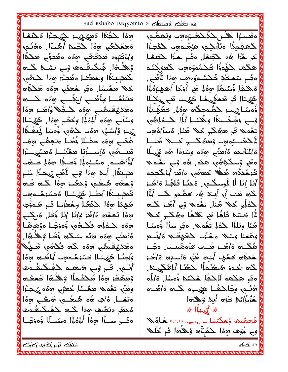## Had Bshabo Daqyomto 3 สต์มาส์ สำนัก

الَّمَلَكُمْ ابْسِرِيْمَ نِسْ يُهْدُوا هُنْمُكُمْ اهْمِ كَعفَّكْتُمِ هِدًا لِكَجْمِعِ أَصَّرَا. وَهُنَّمِ وْ}اخَرَوْه هُداخُرْتُب وهوَه هِ هُدِرَّابٍ هُدِدًا ا وَّلِأَـهُ|. قَىكْتَفُــمَى وْب نسْـــهِ كْـــه كَعبِّبِكُمْ وِهُعبُّسْا مِعْجِبٌ وَهُمْ لَحِيُّوهِ كْمَلَا هُمُسُلْ وَهُمْ هُعْنَى وَوَّة شَكْبُرُهِ فَضَلَعُمَا وَأَهُم رُنَّمُ لِنَهُم مِنْ مِنْ مِنْ مِنْ اللَّهِ وَمِنْلُو وَهُوَ ٱلْمُؤَلَّمَ وَكُتَّبِ وَهُوَا ۖ هَيُمْسَلَّا الْمَلْمِينَ وَأَسْتَبَاءِ وَهُمَا لَحْقَامٍ وَمُسْلَمَ يَسْتَدِي هُنْب «هُه حَصُّلًا ۏُهُــا هنُعِصُ «هَ-هْتَ وَهُ وَاسْتُوْتَا هُمُّنْتَ أَهْلَامَ وَهُمَّةٍ وَهُمْ وَهُمْ وَهُمْ وَهُمْ وَهُمْ وَهُمْ وَاسْتَوْ أَبَلَٰٓاهُــو ومُــَّوُولًا وَكَــجًا هوْمَا كَــهُ هيُبِنَدُا. أَسِمْ هِهَا فِي نَأْهُمٍ يَجِبُوا مَيْ وَّحْشُرُهُ شَيْئُومٍ وَجَعَيْدٍ مِنْهُمْ كُلُومٍ خُلْسَ مَّحِمْدًا هِهُا ۖ حَكَمُّـا وَحُعْبُنَـا ثَـبِ مَّدَوْب هِهُا تَجِعُهِ هُ/هُذِ وُإِنَّا إِنَّا ذُخُلٍ هُرَبِّكُ هؤه كَـــُماه كُــْــُوه وُوجْــا ووُهرِهْــا ەُ/ھنّب ھەَه ھُنّھ مَمْلَاھ ذُکُما وَجُلْدُهُا. ەقتلاپقىقى رەۋە گە ئىلۋە شىمگا وَأَجِبُلْ هَيُّمُالْ حَمَّدَهُـدِهِـ أَلْمَرْهُ هَـ20 أَنَّــَى ۚ. فَــِ وَٓــَ ۖ وَّمَــْتَــَـهُ ــَـَـَـَـمُــَـَـمُــهَ ــَـمَــهَـــهِ وَهِمَعَتَـٰٓ وَوَٰا هَكْتُـٰهِ ۖ وَلِكُـٰهُ ۖ تَـٰعَمْـُـٰهِ وَهُذَبِ تَعْمَدُ هُمُسُلٌ هُشْرٌمٍ وَهُوَ بَكِجِنْزَا دَسْمًا. هُ/َ هُ هُ هُ هُمْ مِ هُ هُ عَلَى اللَّهُ عَلَى اللَّهُ كَحْمَدٍ مَتَّصَّبُ مَا كَلِّهِ لِلصَّنَّفُ، مَ دجَّــز مسأل 16% أَبْلَدُباً! دَمَّمْــْلَا ذُوذِجْــا

وَهُسَبَرَا ۚ ٱلْأَحْرِ لِلْمُلْعُثَمَ وَوَى وَنَعْفُمِ لَّكْهِقِّينِكُمْا وَلَلْأَكِمِ هِبُهُدومِهِ كَخْجِبُّا كَمِ هُوَّا هُوَ حَجْبَهَا. وَكَمِ هَـزًا حَجْبَهَـا هكْمَ حَثَّمَوْا خَحْشَوَوهِ حَكْمَكِنَّه ەكبر شمىڭد كَكشەوّەرەب رەەُا ئاھُى. هَ كَلَّهُا وَمُمُعَا هِمَا هُمْ أَوْكَا أَهْدَىٰ أَكْثَرَهُا الْكِرْمِ مِنْ سَرْفِهْ لَمْرِيْنَعْ بْغَ الْمَرْفِهِ أَمْسُلَيْبِ حَصَّدَهِ مِكْبَدَ الْمِرْزَالِدُهُ وَمَثَلَّمَ وْبِ وَجُعُــٰـمَٰاْ وَهُّـُـٰـا ٱلْمَالِ ـَــٰـمَٰاِرَةُو تَغُمِلا ثَمَّ مِلْهُكُمْ كَلا مُثْلَ مُسَلِّلُةُ مِنْ تَأْكِلُفُ مَءِدِهِ وَعِنْهُ كُلْسِيرٍ كُنْكُلْهُ هَٰنُسَارِ فَالْمَلْقَادِهِ وَاهْلِهِ وَوَمَادًا اللَّهُ وَلَيْمَا اللَّهُ ەتىم توسكىلۇۋە ھكە. شە توپ تىقىمىلا تَنهُدِبْهِ هَلِلًا يُعِدِهُمِ وَأَهَٰذِ ٱلْمَكْتِحِهِ أَنَا إِنَا لَا خُومِمكُمِ. هَجِئًا قَاهُـا هَاهَـ: كُلُّه هُذِبٍ أَبْلَ اللَّهِ وَقَامَهِ كُنَّ أَبْلَا لْحَمَلُمِ كَمَلا هَمَا. تَعْمَدْ وْمِ أَهَد: كَلَّهُ ءَّا هَىسْمْ قَاهُا هُم كُلْجُا هِهَكْبِر كَــلا هَٰنَا وَتَالَمَا لَكُما تَعُمِيهِ. وَجَرِ مِيزًا وُومُنَا وَهَمْنَا وَسْلًا هُمَّتُ لِحَقَّتِهِكُمْ هَاؤُسُمْ هُكْدِهِ ةَاهُد; هُدِ: فَأَوْهُنِي وَجُدَ: هُدبَّات فَعَلِي أَبْرَه هُذَبِ هَامِيرَه ةَاهُدَ كُلُّه انْحَمْوْ شَمْلُكُمْ أَلْمَا الْمَالُكُمْ أَبْلَا أَمْلَا أَبْلَا أَمْلَا الْمَالِكُمْ بِ وَجَرِ هِكُمُو لَاحْفُلْ هَجْتُمْ ؤُوسُل وْأَلَمُو هُنُــمٍ وَجَلِحْهُــل هيٓبِره حَـــهِ هَ/هُـــزه هَّنُواْيُمْ حَزْرَه أَبْنَا وَجَلَادُهُ  $\mathscr{R}$   $\mathscr{A}$   $\mathscr{A}$ فَرْدِهُمِ وَحَكْتِمْ سِي 3.3.13 حُمْلُهُ مَا فِي ذُوْفِ هِهُ! كَثَبَأُهُ وَكِلَّهُ! ثَمِّ غُلُكًا

تكنفته بالخطر بمفاتح فللمحلف

 $\sqrt{4}$   $\frac{29}{4}$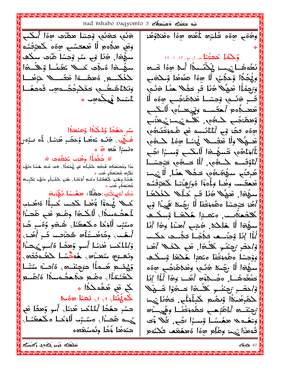And Bshabo Daqyomto 3 مَلْمَعْلَمَ Had Bshabo Daqyomto 3 هَنُّو خَوْنُو وَجِسًا مِكَّرْبٍ وَوَٰٓا أَمَكَب وَوْهُمْ وَهُوَ خَلَيْهِمْ لِمُحْمَدِ وَوَا وَهُدَاؤُهُدَ وَهْدٍ هِجُومِ لَا شَعْصَمُبِ وَوَوْهِ كَلِّحَرِّفُتُم سَيُّهَا. هُنَا فِي سِّرِ وْجِسًا هَّزَبَ سَكْفٍ وَحَكْمَهُمْ يَحْدَثُونَا بِ ). سِ 10. 1. 14 سۇلھا ەْجْد كىلا ئىنىل ۋىلاگ صَدَّاهُم مَمَّا الْمَسْتَكِيَّةِ مَسْتَ الْحَمْدُ لمُنْكُمِ, هَعِمَــةَ هُمَّـــلا دَهُــا وَهُجُمًّا وَّحِجَّبُ لَّا هِءًا هِنُوهُا وَّحِكْشَى وْرَجِهُ أَا شَهْلًا شَا تُم حَثِّلًا هَنَا شَيْءَ وتَكلمُشَمَّــــم حَكْـــْـرَجُـــَـــموت ثُــُحِــهُــــل كُـــِ وْشُـــْمِ وْجِسْــا هْدْهُرْجُـــى وِهُم لَٰا \* مەملىرۇ ئىمشا تَعْتَقِدُوهِ أَحْتَسَتْ وَيُهْتَدِيَّهِ لَلْكُبَ وَمِعَنْ مِنْ الْمَدْمِنِ وَهُمْ لَمِنْ مَنْ الْمَدَّوْمَةِ مِنْ الْمَدَّوْمَةِ مِنْ الْمَدَّوْمَةِ و سًرِ حَمَّجًا وَلِمُكُمَّا وَعِنْعِدًا هِ هَ دَجَٰ; فِي ٱلْمَلْنُسِهِ شَي هُـهِ; ضُمْهُم فَـنِّي . هُنَّـه عُمُّعا وُحَصُّـر هُـزَـُـا. لَمَّه بِـرَّه, هْجُلًا وَلَا مْعَْصَلًا يُزْسًا هِمْا حَدِيُهِ، ه تسترا خود **(8** \* لْمُ/وْلِمُوْمِ خَسِيْحَا لَمَاحِكِ وَمِسْرًا آجَے *®* حُذُماُ! وهُنِ مُحصُّوب *®* أَنْاؤَقُــــم كـــرْهُوبِ. أَلَّا حَـــرْهُوبِ حَبْحِسْــا دَٰا وحَٰهنُعدَاهِ فَرْهُهْ كَذَبِلُهِ هَي يُحْتَمَلُل. هَٰدَ حُـنْهُ هَـنُـل هَنَّهُـ: صَرْحَتُمِ سَهُرَهُ وهُ مَعْلاً مِمَارٍ لَا يَهِمْ عُكْبُرُه خَعِنُعِكُمْ هُذِبَ \* هَمُلْهِ مِمَّتِي حُكْفَتُنَا 5َحَمِ أَقِحْتَا. هَتِي حَدَّبِلُو 5َفَهَـ: تَحْبِــِـنَ هْجَنّْس وِهُـا وِأُووْا هُورُڢُبْـا كُعرَفُتُـه حُمنُعدُم هُنِ \* صْنَهُوْ أَمَّهَكُمُّهُ :حَمُّلًا : مَحْصَنُمْ تَهَّزَّبَهُ سۇۋا. ھۇلا ھُئا ئە كالا كىلگىل كَحِلاً فُحَوّْاً وُّهُمَا كَحَمَد كُبِيلًا وَاهُمَنِي أَهُد: حَبْحِسْاً مِمُّونُطُّلُّ الْجُمْلَا فَهَيْزًا فِي أَحدُّےملاً لِ لَلگُهُ اوصُّص هُب هَدأَ كلقعكسب متعبةا كلاشا ؤسكنف ەمئۇم لگۈنكا ەڭگەڭئا. ئۇرۇق ۋۇس كە مِيهُوْا لَا هَلِكُمْ. رُمُّتِهِم أَهْنَا وَرُّا أَبَلَ أَحْف، ودَاهُمتُهُاه هُجْرَت دَمِ أُهُدَ. أَبْلَا إِنَّا وَجَنُـــــ حَجَّــا حَجَّــــب حكّـــت وْالْمَلْكُمَا: هُٰذِيُنَا أَسِرٍ وَهِجُنَا هَاسِرِيْجِمَاْ! وْاحِضْرِ رُجِئْبُو ݣْلْحُوَّا. هُي حَكَمْ أَهَٰ: ولُعْــــوْمِ مَنْعَــْزُمْ . هُوَهٌّـمُــا لِلْحُــودُدُمْ . ووْجِسًا مِمُّمْوْخُلًا مِنْحَرًا هُكْشًا وُسِكْفِ جَهْشَـــم هُــــماً احْجِمْسْــم. هَ/صــْ: مَنْـْــا مَجْرَةَا لَا رَجَّىٰهَ هُنَّـمٍ وَهُدْهَّاجَّى هَءَه لْحَمُّتَةَ أَلْ. وَهُـُمْ دِّاْهُدُومِيهُ أَوْ أَهْبِ حَلُعُهِ هُــــا, هجُــــــافَوه أَهَــــــز وَهَٰا أَبِلًا إِنَّا كُمْ هُمْ هُدُّهْكُمُّا \* وْاحْشّْهِ رْجِئْسُهِ ݣْلْسَاهَا حَسَوْءًا خَسْهَٰدًا لَحْمَهُمُّا. ١. ١. تعمُّا 20 مُ لكمُ وهُمَدًا وَيَشَمِّرَ لَكَ أَوْلَمَ . حَوْثًا يَهِمْ حسِّر حمَّحُا ٱلْمَلَّكُ: هُٰذِيَّا. أُس وَهِجًا هُو مشَرِيْهِ الْتَكْبُعَبِ حَقَّدَتْنَا وَهَيْ آمَنَ جُد هَجَدًا. مِمَّـَّب لَّافِكْ مَكْعِفَدًا. وَتَعْـٰهَـٰ لَاهُـُـُـٰلِ وَُسَـٰٓاً اجَـٰى ۖ ثَلا وَّت حَدَهُدا ذُكُل ونُصَمُعْدَهِ ﴾ تُمعْنَزَا بَهِمْ وَهُأَمْ مِهْ أَمْعِكْفَ فَكَنُمْهِ تكماهم كراش بالله تكلفكم  $40<sub>1</sub>$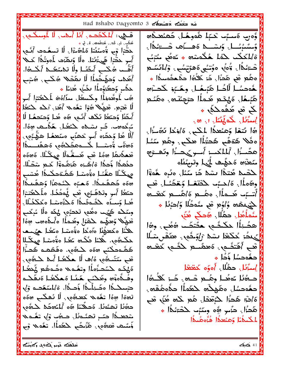نَه حَتَّفُ kad Bshabo Daqyomto 3 <del>مَاسْتَامُهُ A</del> فَحِي: أَلِمَكْحُدِهِ . أَمْلَ أَحكَ اللَّهُ أُوسِكُمِ . وُّەرب ەَسبُّب تْسَبُّلْ هُموهُـل. كَـٰعِنُـٰلاھ و مَكْلُوبٍ. قُرْبَ قُلابَ رِهُوَهُمْهِ بِ ٥ ]. في ع وُسِئْبُرُسُـــا. وَيَسْمَـــدْ هَـــــَوْتَ هَــــَوْتُدَا. حِثْرًا فِي قُمسُتُنَا هَاهُتْزَا. لَا تَسِعُوبَ ٱنَّبَ ة/الْكَكَ لَكُمُا هُكُمْتُمْ \* تُمْعُ سُبْبُ أُسٍ حتَّةٍ! فَي تُسُدًا. ولَّا وَمِعَّنَ لَهُ وَتُمَّا كَحِلًا ڞٙڗٸٚٵٚ؞؋۠٥ڸ۫؞ۄؙڗٮؙؠ؋ڡڔٞؾڛؙ؞؋ٳڶٮٞٮٞٮۄ أَقُّب هُكْب أَحَنُـا ولًا تمنّعُـم أكْـ هُا. ەمُم فَعِ مُجَّل. خَز كَلاُهُ احكَمْحُمْسَمَّا م أَهَٰذَا ۖ وَحَهَٰنَدَمُاْ لَٰا نِعَجْلاً ۖ هُكُبٍ . هُبْبِ َحَكَّبِ وَحَعَّزَوْهاْ لِكُنُّ هُزْمًا \* هُوصُلُ لَّاحُـلُ هُبُـمُـلٌ. وهُـبُوْ كُحــْرُه رَّهُ- ـ أُوهُدوهُ أو جُنسِعُل. معزَّادُوهُ لِمُحْكَثِرًا أُسِ هَّبُـمُّا. هَهْدُم هُـماًا حرَجِنْتُـه. ههَّنُـم لًا مْتِرْم. مْنِيْلًا هُوْا يْغُمِي أَمَّرْ. آنكم نَحْمَدًا ا کے شع هُدُدگی \* أَمَثَلُا وَحَبَّعُا نَكْفَ أَنَّصَ هَٰهَ هُـا وَحَبَّحَهُـا لَٰا إيمزُنل كُولَهُمَّل لَهُ مِنْ مُبِنُدومہ. ضَرِ بِشَيْدِهِ لِمُتَعَمَّلَ. هَذَّبَهَا وَوَٰهُ. هُا تُنْعْلَ وَهِنُعَدُا لِمَكْبِ. هَ/وْخُلْ نَهُــزُا. أَلَّا هُا وَحَدَّ: أَبِ تَحْقَبْ مِنَعْمًا هِنَّيْءِهِ. ەثَلا ھَةفَ هَحَتُماً مِكْبٍ. وِهُم مَنْـا ەُھەتك ۋەسىسا گىممكىلەۋە ، ئىھقىسىدا هصَّــزًا. ٱلملكَـــز ٱســوِّـــحــزًا وتُـهـــوَّ تَعْمَلُهُمْ مَا أَصْبَعْ مَعْهُمْ مِكْتُلًا. وَمَعْدَهُ مَعْنَرْهِ مَحَمِّمِهِ لَمُ لَمَّ وَتَرْمِمُلُهُ حكْمجُال وُحِدًّا وْ/هَــزِه هَزْهُــووْل كَــمْ شَخْـلًا. لِكْتُمِكُمْ هُتِكْلًا لِشَكْ كُوْ مُتُعَلِّ. وَلَٰهٍ هُوَوَّا محسَّلًا هَغَّمًا هَوُّمشًا هَهُتَوكُمُّا الْكُمْرِهِ هِهُمْ خُهِقَسِكُمْا. هُـمـَمْ حَسَّمَتُو وُهِقَسِكُمْا وِهُواْلِ. هَ/حِبَّبِ حَقْتَهْا وَجْحَنَّا. هُبِ حَمَعُا أَس وِتَمَفَـَّوَى مَن لُمَحُكُـا. مأَلكعٌنــْـَ ا أَتَّبَ مَحْدَلًا. وهُنْ وَأَوْمَنُوا كَعْنُوا وَالْمَسْتَرَدُوا وَالْمُسْتَرَوْقَ وَالْمُسْتَرَوْقَ هُـا وُسِـرُه ۖ حَدُومًا وَحَدُّومَا وَحَتَّحَالًا. لِحَيْبُلُثُم وَاوُمِ هُوَ مُتَوَجَّلًا وَاحِزُنًا \* مِنَكُمْ هَيُبْ مِثْنَةٍ لِكُمْ رَسُمْهِ مِنْهُمْ مُكْتَبِي مْعَلَّمُلْ. حَمُّلًا. 5ْحَكَّى مُنَّى تَعَهُّلا وَههُـه ـلحَمْرُا وهُـماْا ه/ْـلأەھــ 20\$ا هَدُّ أَلَّا حَكَمْهِ حَثَّتَكُ 16\$. و16 لعمرهم الحذه المشوثة الأوأه اللهجلاء الأكلا لْمُعَدُّ مُكْتَمًا لَسْمَا رَاهُمْتُم، هَنَّكُمْ مَصْلًا حكّْمُو، حَكْمَةُ حَكْمٍ حَمَّا وَقُوسَا وَحِكْمًا هَــِ أَقْتَفُــهِ. هُعقَـــم لكنَــهِ كَعْــه هَفُــوَحِكْتُمِ 500 هَــرُهُم. وفَهْعت هَدـُ;ُا أَ حفَّوصُل ذَٰرُ ﴾ مْبِ مَتَسْتُوهِ، هُ/ف لَا هكْتُمَا أَبْتَ بَدْءُهِ. أَ إِسْئَلًا. حَمُّلًا. أَووَّه كَعَمْعًا هَهُكُم لِكْسُحِنُّوا أَوتِعْـوبِهِ وَحُـوهُم هُكِفُـا ۖ حـهُنُا عَمْدا وهُــم حْــه. كَــز كَلْــهُا وفُـذُهۥٓوَ» وهَكبُ ۖ هُنُـا هَـمكْهُـا هَنفَكـ حْبِيجِكُمُّا وَجَزَلْهُمُّا وَجِجُا، وْالْمَعَجَدِ وْلِي حفُّحسُل ممَّمِحْم حمَّماُ حدُّممُقَّم. نَهِ وَا صَدْهَدٍ لَا يَحْمَدِهُمِ بِ لَا يُعَكَبِ هِ وَهِ ة/حْزَر هَجُزَا حَجْمَحْدَا. هُم كَلِّهِ هُذَى هُجَ دەُنْا تىعئەنْا. ەَحكْنْا ھَە ٱلْمُعَكْمْ حْــُهُى هَٰدُا. حَنُسٍ هِٗه مِمَّبُ حَدْتِنُمَّا \* مْتَعْتَدُا حَتَّى تَعْشَمْلَ. حَامُتْ وْ﴾ تَغْتَمْلَا لمكتمئا ومنعدا فأومحا وَمُسَّم هُدهُ بِ هُزْمَكِ ۖ لِهُمَاٰلِ يَعْمَلا ۚ وَبِ

محلَّفُتُهُ مَوْمَعَ كَتُوبُهِ وَكَفَّتُهُمْ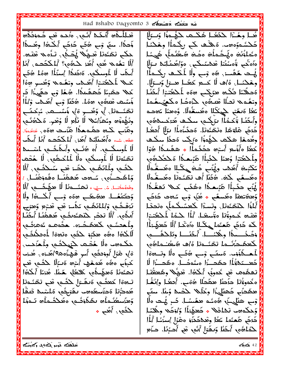## Arad Bshabo Daqyomto 3 مَسْتَعْمَة بَعْيَكَة Had Bshabo Daqyomto 3

هْلِلْمِدْهِ أَنْكُمْ أَنُوب هُمْدِهِ هُوَ خُدْوَدُوْهِ وَۡحَدًّا. منۡ وَٓب وَٰٓضَ حَٰاضَہٖ اُۡـحَدُّا وَمَّــدَّا اَ<br>حِكّـہِ تَتَّفَتُونَا تَعِیُّلا یُتَـجُّہٖ. تـرُّہ& تَعْنُـه. أَلَّا تَعُمِيهِ هُمِ أُهُمْ حَدُّوهِ؟ ٱلمَكْحُصِهِ. ٱلنَّا أَحِكَ لَا ـأَوِسِكُوب. هَٰاصَٰدًا إِسْئَلًا هِءُمْ هُكَـ كَمِلا لِمُحْقَّتَةِا أَهُمُومَا وَتَعْدِيدِ وَقُسِيرِ وَوَةَا كَمْلَا حَمَّيْنًا خَمْقَىنِدًا. هُمَّا وَبِ حَقِّيْ ًا ثَمِّ أَمْسُت هُدهُّه، «هُدُا وْبِ أَهُدَات وْ) تَتَعَنَّــونَا. ﴾ وَهُــــو ۞ وَمُــــع. مُرِكْبِنَـــع وِنُؤْدَوْنَ وِمُعَةُٰائِكَ لَٰا نُأْمَ لَا وُهْدِ. هَٰكَاهُنَـُم وهُنْبِ كُلُّه حَقَّـمَعْدًا هَنْبَـت 30% . مَنْشَوَا. عثمي شع وأُهْمِلُكُمْ أَهُزٍ. أَلْمَكْكُدِ أَلْلَ أَجَلُ لًا أوسكَــمٍ. أَه هُنَــمٍ وأَــمُنتَــمٍ لمتـــمـم تَعْتَدَلَا لَا ـ لَوسكُم ولَّا ـ لَمَلْكُمعُم . لَّا ـ هُحْم لأَشَى وِلْمَانَشُى لِكَـٰٓ; ثَبِي مَمْلِكُـوبِ. ٱلْل وَاهَمحشُورٍ. سُمِّدَ هُدَهُسًا وفُووَهُنَا. 1 وهُوَتُنظَف اللَّهُ عَلَى مِنْ تَحْقَصُونُا لَّا حَذَّمَٰتُ مِنْ أَلَّا وَحِنَّتْنُعُــا. هِ:هَمْـهَـــع (200 وْـــع أَنْكَــــْهَا وِلْا تَرْقَبْتُم، وْالْمْلَتْقُىم، تْݣُوءْ قْتْ هْتْرَمْ وُهْتِهِمْ أَبِدُّورٍ. ٱلْلهَ تَحْتَمِ بِالْتَحَمَّدِينَ مَحْمَيًّا أَيْضًا وأحصنُها لاعتقبصُ: حدَّمت عُمرَضُها لَّالَّكْمَٰا هَوْهِ هَكَبُوْ حَكْمٍ هَرْوَةَا لِمُوَحَكْتُمِ حكّموت ولْا حُصْف لِمَنْهَلِكُمْ وِلْمُؤْهَبِ. ة) هُوُل أُوذِهِكُم أُسِر قَتْلِ: أَ98% مَنْ مُنْ مَنْ كَبِفَ وهُو هُوهَهَا أَيْرَهِ وَسَرَّلًا لِكَشَى هُم تَعَثَّمُا هَجِهُبِمُومٍ لَلْحُلِّلِ هُبِئًا. هُزِيَّا أَيْحُوهُا تَّـ20\$ كَعْشُـُمْ هُنفَـرْلْ لِكْتُـمْ هُــ تَتْفَتُـمْنَا هُدَدَٰ;ُلَمْ هُدَّسْمَدُومَا لِگُرْمِثُمْ هَلْمُسْلَمْ شَنْقُلْ وَهِنَسِمُلُما ُهِ مِمْلَا وَشَــمِ مِمَلَاهُــمِلْمِ نَــمِنْـمِ َ كَدُّه ِ. /ُمُّب ِ \*

هُـا وِهُـْٓا كَتَعُـا هُكْـم كُهُّـوَٰا وَسَعَلْ كَحْشُدَوُه هَــ، هَـْلَـْـْكَ كُلَّــ رَبُّــُدَاْ وَـقَحْـُـا لْمُرِيْهَ ﴿لَّاعَنَّصُوْمَ مَاءُهِ مَالَّاعِشُوْهِ مَا فَهَاءَ لَمَّاهُ مِنْ مِنْ مِنْ مِنْ مِنْ مَ وَاُوتُكِي وَّوَمِمُتُنَا قَدَامَمُنكَنِي. وَوَّاهُمَنْـلَنُكَ نَبَوْلًا لُه هَقَم، 6ه وَبِ وِلَا لَمَكْتَ رِكْتُهَا ا وهَكْـا. هُ/َد لًا كَــمِ كَعُـا هــرَا وَسـرَكَ. هَحكْنَا ئَكْ10 محَكِّبٍ 500 لِمُحْكَنَةِا أَحَدُبَا وتمُّمحه تصلًا مْدةًى لأَرْمُط مكْمِيْهِمْمَا عَعْلَ هَيْفَ جَيْخَلَلْ مَعْتَقْتُهِ أَ. وُمِعْتُلْ حَمْدَةَ عَمَدَةً وأَحَلًا وُّكَـهُمُّا تَرَكُّـمٍ مِنْكُـفٍ هَٰـٓتِكُـمِدْهُمٍ حَرَجٌ هَاوَهَا وتَعْثَوْنَا. وَحَدَّزُواْ! بَرَٰلَا أَحِعُـا وقُدهَا هكْمَ حَذَّوْاً وَرُجَّبَ وَحَدًا سَكُتُ كَعُدًا ه}ُؤُمِ أَسْرَه حَجُدُه أَل \* هِقَسَمًا هُوَا ولَمحْدَّتِهِ وُهِمَّا حَدَّبِهُ الْمَبْعَدُا مَحْدَكُوهُ تَكْثِمِهُ أَهَٰذَا وَيُّنَى حُبْهَ بِكُلِّ الصَّفَّةُ وهُسمٌم لكُهُ. وُكُنَّا أُفْ تَقْدُونَا وهُسَمُّواْ لَّٰہُ حَدَّـٰٓاً هَٰٓہُـمۃُا ہھُنَّے کَــلا تَعفُّۃُا وَهِهَتَهَا مَعَسِمًا \* هُزًا وَلَّى كَهُدَ كَاكُمْ أَءْذَا حَنَعْتُونَا. وِنَسْأَا خَعْسُكُمْلِ وتَحدَّا مْشَرْه خُدوقُنَا وقُصْحًا. أَلَمَّا كَدُا لَمَكْمَ لَلْمَحْتَ لَّٰلَّٰہَ ضَکَّے اللَّہُ مَعَہُ اللَّکَے لَمَعْمَٰہٗ کَے مَکَّ وَحَبِّكُـــٰبِدًا ۖ وِيَكْنُــَـل أَيْجَنُــَـل وِنَلِكَفَــَـبِ لَكعفَىدَٰ;نَــما نَعْمُــمِنْل هُ/ف هَٰىعُنــماهُم لْمَـــكَذّْفِ. دَمنـّـــ وْــــ 20كَـــ دلّا وتــــ20\$ا حُمْدِ مُمْلَأُ أَلَّا مَمْسَوْدًا مِنْ مَمْدَانِ مَعْجَلَ الْ تَعَفُّمَت مْعِ يُدَوِفُ أَيْدُهُا. مْدِيُلا وهُمَشْتَا. وجُدووُّنَا حَاجِبًا مِحَكًلا هُوْبٍ. أُحمُّا وإنْقُا ههُدَّب دُهسَّلٍ؞ُۥۢ ومُألَّلًا كَدْمَا وُسُّا. سَبَّ وْبِ هِنَّلِيَّ وَهُوَيْهِ هِمُسُلْ ضَرِ لُهِت وَلَٰل وَحكَّده للكلفلاء حُعدُنا أو وُاوْحُلا وِللَّكْل كَرَكَ هَمَنُه! مَعْا وِمْدَكَنَوْ وَهْزَا إِسْزُمْا أَلَمْا لِكَمُلَاهُمِ أَيضًا وَيَعْقِلَ أَنَّمٍ هُوَ أَسْبُرُاً. سَنُور

بحثاءُبم مرَّمَزَ بامَهُ بِمَثْلَهُمْ مَنْ